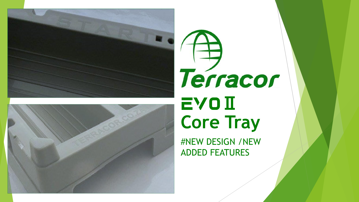



# Terracor **EVOII Core Tray**

#NEW DESIGN /NEW ADDED FEATURES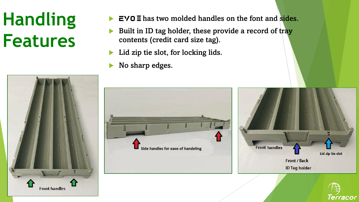## **Handling Features**



- Built in ID tag holder, these provide a record of tray contents (credit card size tag).
- Lid zip tie slot, for locking lids.
- No sharp edges.







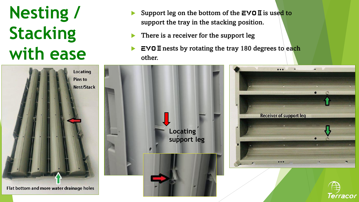### **Nesting / Stacking with ease**

- Support leg on the bottom of the  $EVOII$  is used to support the tray in the stacking position.
- There is a receiver for the support leg
- $EVO II$  nests by rotating the tray 180 degrees to each other.







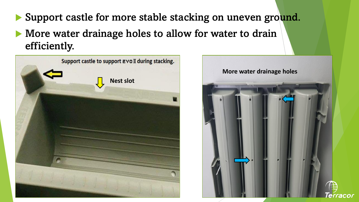- Support castle for more stable stacking on uneven ground.
- More water drainage holes to allow for water to drain efficiently.



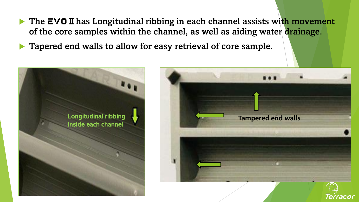- The  $EVOII$  has Longitudinal ribbing in each channel assists with movement of the core samples within the channel, as well as aiding water drainage.
- **Tapered end walls to allow for easy retrieval of core sample.**



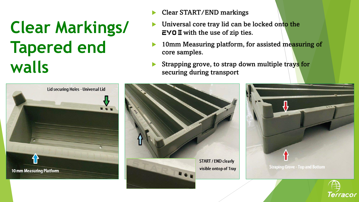#### **Clear Markings/ Tapered end walls**



- Clear START/END markings
- Universal core tray lid can be locked onto the  $EVO II$  with the use of zip ties.
- 10mm Measuring platform, for assisted measuring of core samples.
- Strapping grove, to strap down multiple trays for securing during transport



Terracor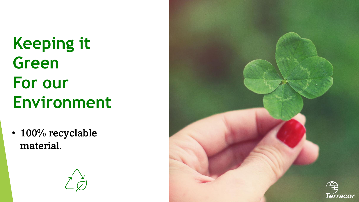**Keeping it Green For our Environment**

• 100% recyclable material.